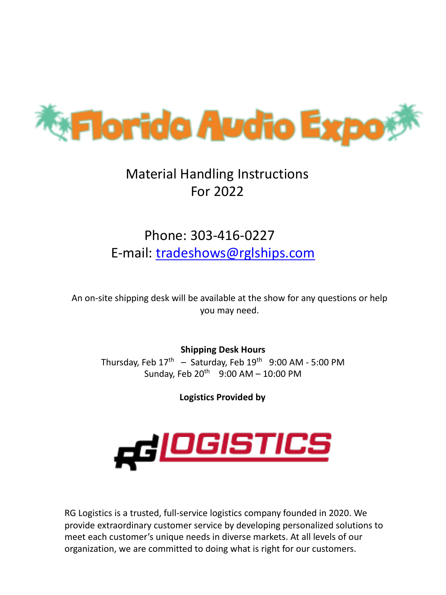

# Material Handling Instructions For 2022

# Phone: 303-416-0227 E-mail: tradeshows@rglships.com

An on-site shipping desk will be available at the show for any questions or help you may need.

**Shipping Desk Hours** Thursday, Feb  $17<sup>th</sup>$  – Saturday, Feb  $19<sup>th</sup>$  9:00 AM - 5:00 PM Sunday, Feb  $20^{th}$  9:00 AM - 10:00 PM

**Logistics Provided by**



RG Logistics is a trusted, full-service logistics company founded in 2020. We provide extraordinary customer service by developing personalized solutions to meet each customer's unique needs in diverse markets. At all levels of our organization, we are committed to doing what is right for our customers.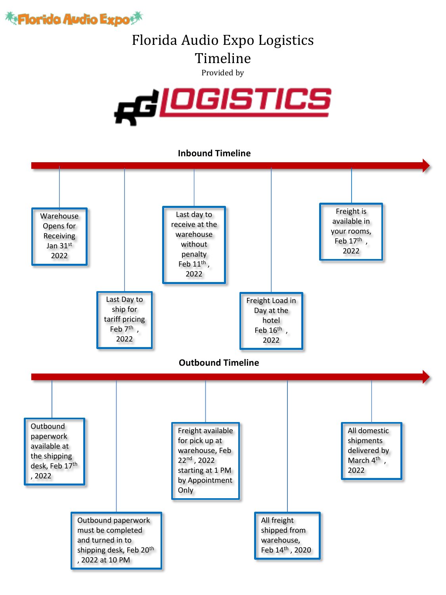

# Florida Audio Expo Logistics Timeline

Provided by



### **Inbound Timeline**

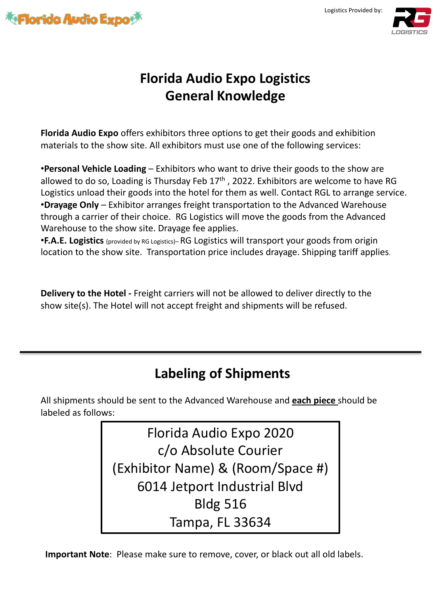

Logistics Provided by:



# **Florida Audio Expo Logistics General Knowledge**

**Florida Audio Expo** offers exhibitors three options to get their goods and exhibition materials to the show site. All exhibitors must use one of the following services:

•**Personal Vehicle Loading** – Exhibitors who want to drive their goods to the show are allowed to do so, Loading is Thursday Feb  $17<sup>th</sup>$ , 2022. Exhibitors are welcome to have RG Logistics unload their goods into the hotel for them as well. Contact RGL to arrange service. •**Drayage Only** – Exhibitor arranges freight transportation to the Advanced Warehouse through a carrier of their choice. RG Logistics will move the goods from the Advanced Warehouse to the show site. Drayage fee applies.

•**F.A.E. Logistics** (provided by RG Logistics)– RG Logistics will transport your goods from origin location to the show site. Transportation price includes drayage. Shipping tariff applies.

**Delivery to the Hotel -** Freight carriers will not be allowed to deliver directly to the show site(s). The Hotel will not accept freight and shipments will be refused.

# **Labeling of Shipments**

All shipments should be sent to the Advanced Warehouse and **each piece** should be labeled as follows:

> Florida Audio Expo 2020 c/o Absolute Courier (Exhibitor Name) & (Room/Space #) 6014 Jetport Industrial Blvd Bldg 516 Tampa, FL 33634

**Important Note**: Please make sure to remove, cover, or black out all old labels.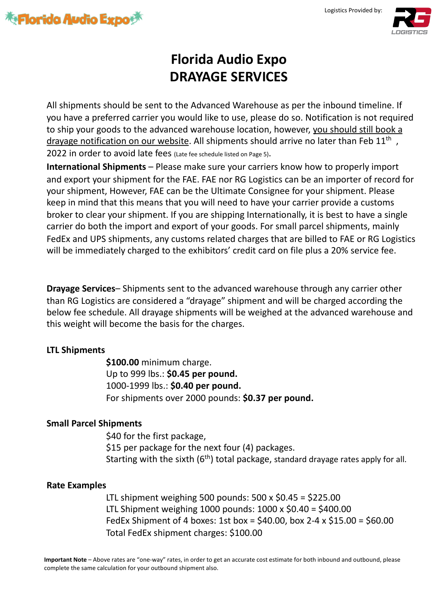



# **Florida Audio Expo DRAYAGE SERVICES**

All shipments should be sent to the Advanced Warehouse as per the inbound timeline. If you have a preferred carrier you would like to use, please do so. Notification is not required to ship your goods to the advanced warehouse location, however, you should still book a drayage notification on our website. All shipments should arrive no later than Feb 11<sup>th</sup>, 2022 in order to avoid late fees (Late fee schedule listed on Page 5).

**International Shipments** – Please make sure your carriers know how to properly import and export your shipment for the FAE. FAE nor RG Logistics can be an importer of record for your shipment, However, FAE can be the Ultimate Consignee for your shipment. Please keep in mind that this means that you will need to have your carrier provide a customs broker to clear your shipment. If you are shipping Internationally, it is best to have a single carrier do both the import and export of your goods. For small parcel shipments, mainly FedEx and UPS shipments, any customs related charges that are billed to FAE or RG Logistics will be immediately charged to the exhibitors' credit card on file plus a 20% service fee.

**Drayage Services**– Shipments sent to the advanced warehouse through any carrier other than RG Logistics are considered a "drayage" shipment and will be charged according the below fee schedule. All drayage shipments will be weighed at the advanced warehouse and this weight will become the basis for the charges.

## **LTL Shipments**

**\$100.00** minimum charge. Up to 999 lbs.: **\$0.45 per pound.**  1000-1999 lbs.: **\$0.40 per pound.**  For shipments over 2000 pounds: **\$0.37 per pound.**

## **Small Parcel Shipments**

\$40 for the first package, \$15 per package for the next four (4) packages. Starting with the sixth  $(6<sup>th</sup>)$  total package, standard drayage rates apply for all.

## **Rate Examples**

LTL shipment weighing 500 pounds:  $500 \times $0.45 = $225.00$ LTL Shipment weighing 1000 pounds: 1000 x \$0.40 = \$400.00 FedEx Shipment of 4 boxes: 1st box =  $$40.00$ , box 2-4 x  $$15.00 = $60.00$ Total FedEx shipment charges: \$100.00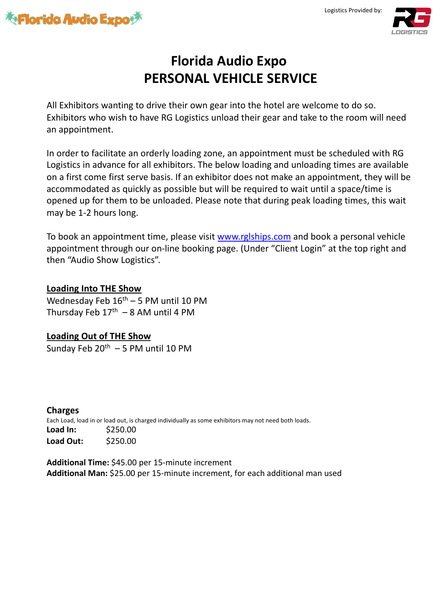





# **Florida Audio Expo PERSONAL VEHICLE SERVICE**

All Exhibitors wanting to drive their own gear into the hotel are welcome to do so. Exhibitors who wish to have RG Logistics unload their gear and take to the room will need an appointment.

In order to facilitate an orderly loading zone, an appointment must be scheduled with RG Logistics in advance for all exhibitors. The below loading and unloading times are available on a first come first serve basis. If an exhib[itor does not make](http://www.trans-expedite.com/) an appointment, they will be accommodated as quickly as possible but will be required to wait until a space/time is opened up for them to be unloaded. Please note that during peak loading times, this wait may be 1-2 hours long.

To book an appointment time, please visit www.rglships.com and book a personal vehicle appointment through our on-line booking page. (Under "Client Login" at the top right and then "Audio Show Logistics".

### **Loading Into THE Show**

Wednesday Feb  $16^{\text{th}} - 5$  PM until 10 PM Thursday Feb  $17<sup>th</sup> - 8$  AM until 4 PM

## **Loading Out of THE Show**

Sunday Feb  $20^{th}$  – 5 PM until 10 PM

**Charges** Each Load, load in or load out, is charged individually as some exhibitors may not need both loads. **Load In:** \$250.00 **Load Out:** \$250.00

**Additional Time:** \$45.00 per 15-minute increment **Additional Man:** \$25.00 per 15-minute increment, for each additional man used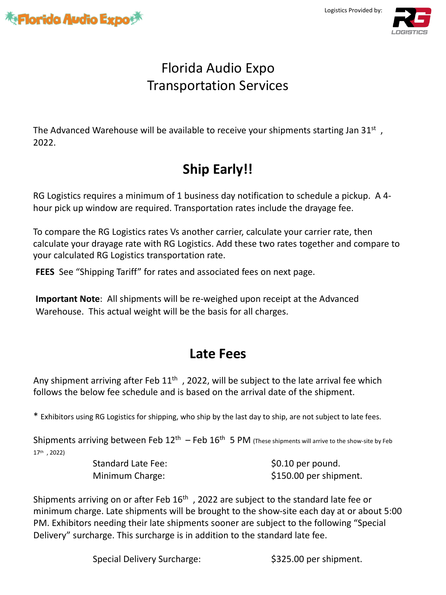

Logistics Provided by:



# Florida Audio Expo Transportation Services

The Advanced Warehouse will be available to receive your shipments starting Jan 31st  $\mu$ , 2022.

# **Ship Early!!**

RG Logistics requires a minimum of 1 business day notification to schedule a pickup. A 4 hour pick up window are required. Transportation rates include the drayage fee.

To compare the RG Logistics rates Vs another carrier, calculate your carrier rate, then calculate your drayage rate with RG Logistics. Add these two rates together and compare to your calculated RG Logistics transportation rate.

**FEES** See "Shipping Tariff" for rates and associated fees on next page.

**Important Note**: All shipments will be re-weighed upon receipt at the Advanced Warehouse. This actual weight will be the basis for all charges.

## **Late Fees**

Any shipment arriving after Feb  $11<sup>th</sup>$ , 2022, will be subject to the late arrival fee which follows the below fee schedule and is based on the arrival date of the shipment.

\* Exhibitors using RG Logistics for shipping, who ship by the last day to ship, are not subject to late fees.

Shipments arriving between Feb  $12^{th}$  – Feb  $16^{th}$  5 PM (These shipments will arrive to the show-site by Feb 17th , 2022)

Standard Late Fee:  $$0.10$  per pound.

Minimum Charge:  $$150.00$  per shipment.

Shipments arriving on or after Feb  $16<sup>th</sup>$ , 2022 are subject to the standard late fee or minimum charge. Late shipments will be brought to the show-site each day at or about 5:00 PM. Exhibitors needing their late shipments sooner are subject to the following "Special Delivery" surcharge. This surcharge is in addition to the standard late fee.

Special Delivery Surcharge:  $$325.00$  per shipment.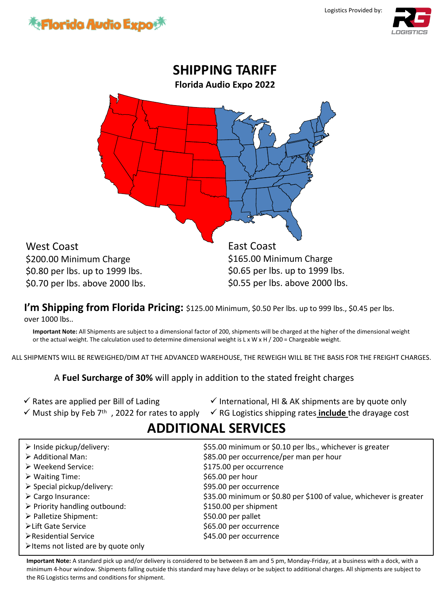



I'm Shipping from Florida Pricing: \$125.00 Minimum, \$0.50 Per lbs. up to 999 lbs., \$0.45 per lbs. over 1000 lbs..

**Important Note:** All Shipments are subject to a dimensional factor of 200, shipments will be charged at the higher of the dimensional weight or the actual weight. The calculation used to determine dimensional weight is L x W x H / 200 = Chargeable weight.

ALL SHIPMENTS WILL BE REWEIGHED/DIM AT THE ADVANCED WAREHOUSE, THE REWEIGH WILL BE THE BASIS FOR THE FREIGHT CHARGES.

A **Fuel Surcharge of 30%** will apply in addition to the stated freight charges

- $\checkmark$  Rates are applied per Bill of Lading
- $\checkmark$  International, HI & AK shipments are by quote only
- 
- 
- √ Must ship by Feb 7<sup>th</sup>, 2022 for rates to apply V RG Logistics shipping rates **include** the drayage cost
- 

## **ADDITIONAL SERVICES**

| $\triangleright$ Inside pickup/delivery:            | \$55.00 minimum or \$0.10 per lbs., whichever is greater           |
|-----------------------------------------------------|--------------------------------------------------------------------|
| $\triangleright$ Additional Man:                    | \$85.00 per occurrence/per man per hour                            |
| $\triangleright$ Weekend Service:                   | \$175.00 per occurrence                                            |
| $\triangleright$ Waiting Time:                      | \$65.00 per hour                                                   |
| $\triangleright$ Special pickup/delivery:           | \$95.00 per occurrence                                             |
| $\triangleright$ Cargo Insurance:                   | \$35.00 minimum or \$0.80 per \$100 of value, whichever is greater |
| $\triangleright$ Priority handling outbound:        | \$150.00 per shipment                                              |
| > Palletize Shipment:                               | \$50.00 per pallet                                                 |
| ≻Lift Gate Service                                  | \$65.00 per occurrence                                             |
| ▶ Residential Service                               | \$45.00 per occurrence                                             |
| $\triangleright$ Items not listed are by quote only |                                                                    |

**Important Note:** A standard pick up and/or delivery is considered to be between 8 am and 5 pm, Monday-Friday, at a business with a dock, with a minimum 4-hour window. Shipments falling outside this standard may have delays or be subject to additional charges. All shipments are subject to the RG Logistics terms and conditions for shipment.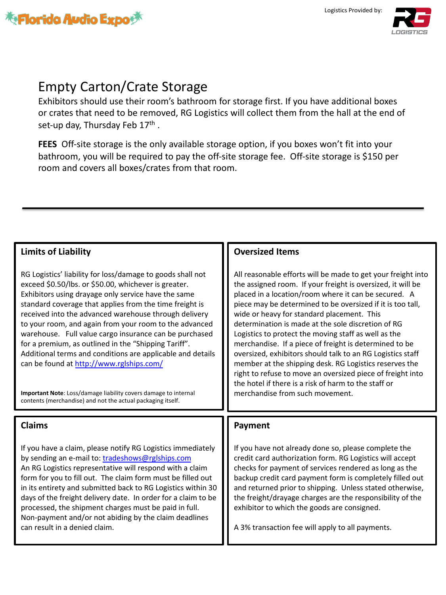



# Empty Carton/Crate Storage

Exhibitors should use their room's bathroom for storage first. If you have additional boxes or crates that need to be removed, RG Logistics will collect them from the hall at the end of set-up day, Thursday Feb  $17<sup>th</sup>$ .

**FEES** Off-site storage is the only available storage option, if you boxes won't fit into your bathroom, you will be required to pay the off-site storage fee. Off-site storage is \$150 per room and covers all boxes/crates from that room.

### **Limits of Liability**

RG Logistics' liability for loss/damage to goods shall not exceed \$0.50/lbs. or \$50.00, whichever is greater. Exhibitors using drayage only service have the same standard covera[ge that applies from the tim](http://www.rglships.com/)e freight is received into the advanced warehouse through delivery to your room, and again from your room to the advanced warehouse. Full value cargo insurance can be purchased for a premium, as outlined in the "Shipping Tariff". Additional terms and conditions are applicable and details can be found at http://www.rglships.com/

**Important Note**: Loss/damage liability covers damage to internal contents (merchandise) and n[ot the actual packaging itself.](mailto:tradeshows@rglships.com)

### **Claims**

If you have a claim, please notify RG Logistics immediately by sending an e-mail to: tradeshows@rglships.com An RG Logistics representative will respond with a claim form for you to fill out. The claim form must be filled out in its entirety and submitted back to RG Logistics within 30 days of the freight delivery date. In order for a claim to be processed, the shipment charges must be paid in full. Non-payment and/or not abiding by the claim deadlines can result in a denied claim.

### **Oversized Items**

All reasonable efforts will be made to get your freight into the assigned room. If your freight is oversized, it will be placed in a location/room where it can be secured. A piece may be determined to be oversized if it is too tall, wide or heavy for standard placement. This determination is made at the sole discretion of RG Logistics to protect the moving staff as well as the merchandise. If a piece of freight is determined to be oversized, exhibitors should talk to an RG Logistics staff member at the shipping desk. RG Logistics reserves the right to refuse to move an oversized piece of freight into the hotel if there is a risk of harm to the staff or merchandise from such movement.

### **Payment**

If you have not already done so, please complete the credit card authorization form. RG Logistics will accept checks for payment of services rendered as long as the backup credit card payment form is completely filled out and returned prior to shipping. Unless stated otherwise, the freight/drayage charges are the responsibility of the exhibitor to which the goods are consigned.

A 3% transaction fee will apply to all payments.